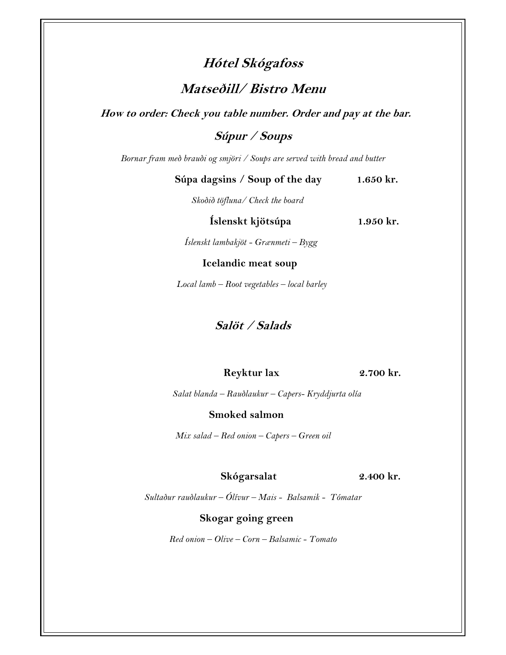# **Hótel Skógafoss Matseðill/ Bistro Menu**

 **How to order: Check you table number. Order and pay at the bar.** 

**Súpur / Soups** 

*Bornar fram með brauði og smjöri / Soups are served with bread and butter* 

 **Súpa dagsins / Soup of the day 1.650 kr.** 

 *Skoðið töfluna/ Check the board* 

# **Íslenskt kjötsúpa 1.950 kr.**

 *Íslenskt lambakjöt - Grænmeti – Bygg* 

### **Icelandic meat soup**

 *Local lamb – Root vegetables – local barley* 

# **Salöt / Salads**

## **Reyktur lax 2.700 kr.**

*Salat blanda – Rauðlaukur – Capers- Kryddjurta olía*

 **Smoked salmon** 

*Mix salad – Red onion – Capers – Green oil* 

#### **Skógarsalat 2.400 kr.**

*Sultaður rauðlaukur – Ólívur – Mais - Balsamik - Tómatar*

 **Skogar going green** 

*Red onion – Olive – Corn – Balsamic - Tomato*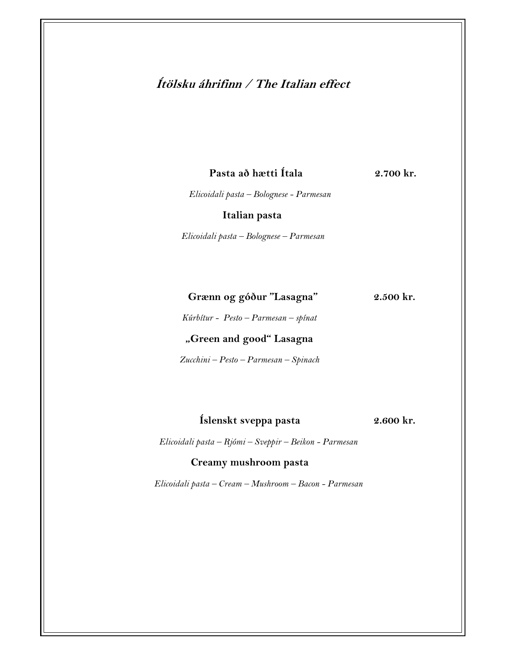# **Ítölsku áhrifinn / The Italian effect**

 **Pasta að hætti Ítala 2.700 kr.** 

 *Elicoidali pasta – Bolognese - Parmesan* 

#### **Italian pasta**

*Elicoidali pasta – Bolognese – Parmesan* 

# **Grænn og góður "Lasagna" 2.500 kr.**

 *Kúrbítur - Pesto – Parmesan – spínat* 

## **"Green and good" Lasagna**

 *Zucchini – Pesto – Parmesan – Spinach*

# **Íslenskt sveppa pasta 2.600 kr.**

*Elicoidali pasta – Rjómi – Sveppir – Beikon - Parmesan* 

#### **Creamy mushroom pasta**

 *Elicoidali pasta – Cream – Mushroom – Bacon - Parmesan*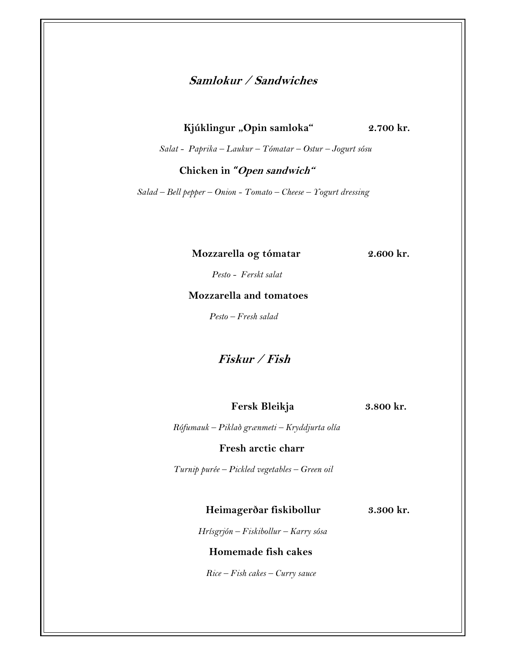# **Samlokur / Sandwiches**

# Kjúklingur "Opin samloka" 2.700 kr.

*Salat - Paprika – Laukur – Tómatar – Ostur – Jogurt sósu*

#### **Chicken in** *"***Open sandwich"**

*Salad – Bell pepper – Onion - Tomato – Cheese – Yogurt dressing* 

#### **Mozzarella og tómatar 2.600 kr.**

 *Pesto - Ferskt salat* 

### **Mozzarella and tomatoes**

 *Pesto – Fresh salad* 

**Fiskur / Fish** 

 **Fersk Bleikja 3.800 kr.** 

 *Rófumauk – Piklað grænmeti – Kryddjurta olía* 

#### **Fresh arctic charr**

*Turnip purée – Pickled vegetables – Green oil* 

#### **Heimagerðar fiskibollur 3.300 kr.**

 *Hrísgrjón – Fiskibollur – Karry sósa* 

### **Homemade fish cakes**

 *Rice – Fish cakes – Curry sauce*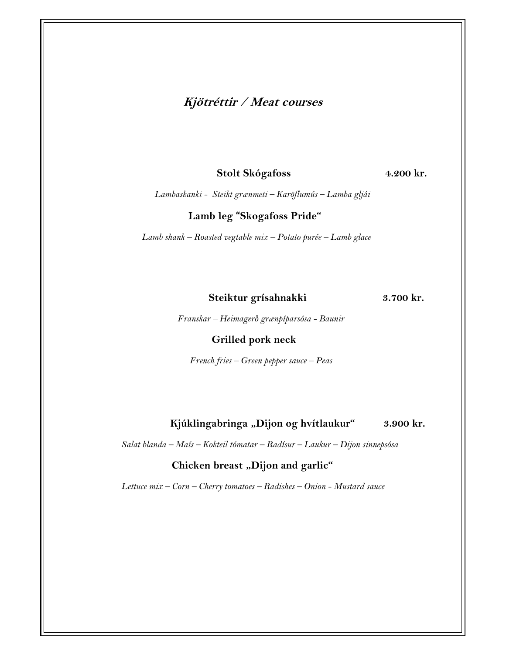# **Kjötréttir / Meat courses**

 **Stolt Skógafoss 4.200 kr.** 

 *Lambaskanki - Steikt grænmeti – Karöflumús – Lamba gljái*

**Lamb leg "Skogafoss Pride"** 

 *Lamb shank – Roasted vegtable mix – Potato purée – Lamb glace* 

 **Steiktur grísahnakki 3.700 kr.** 

 *Franskar – Heimagerð grænpíparsósa - Baunir* 

 **Grilled pork neck** 

 *French fries – Green pepper sauce – Peas* 

### Kjúklingabringa "Dijon og hvítlaukur" 3.900 kr.

 *Salat blanda – Maís – Kokteil tómatar – Radísur – Laukur – Dijon sinnepsósa*

#### **Chicken breast "Dijon and garlic"**

*Lettuce mix – Corn – Cherry tomatoes – Radishes – Onion - Mustard sauce*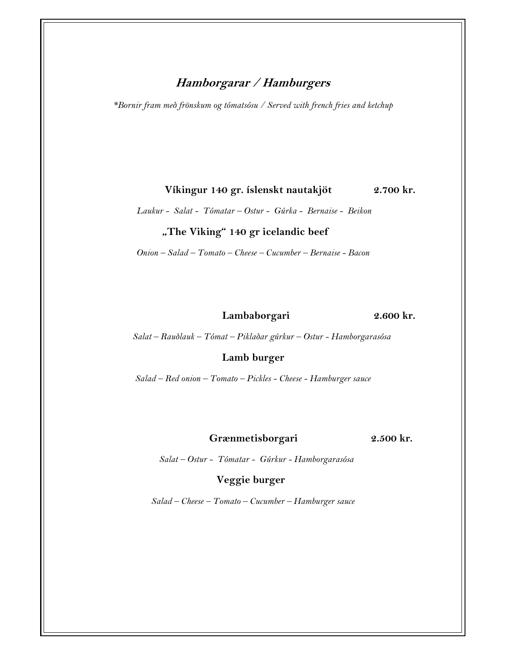# **Hamborgarar / Hamburgers**

*\*Bornir fram með frönskum og tómatsósu / Served with french fries and ketchup* 

#### **Víkingur 140 gr. íslenskt nautakjöt 2.700 kr.**

 *Laukur - Salat - Tómatar – Ostur - Gúrka - Bernaise - Beikon* 

## **"The Viking" 140 gr icelandic beef**

*Onion – Salad – Tomato – Cheese – Cucumber – Bernaise - Bacon* 

#### **Lambaborgari 2.600 kr.**

*Salat – Rauðlauk – Tómat – Piklaðar gúrkur – Ostur - Hamborgarasósa*

 **Lamb burger** 

*Salad – Red onion – Tomato – Pickles - Cheese - Hamburger sauce* 

### **Grænmetisborgari 2.500 kr.**

*Salat – Ostur - Tómatar - Gúrkur - Hamborgarasósa* 

**Veggie burger** 

*Salad – Cheese – Tomato – Cucumber – Hamburger sauce*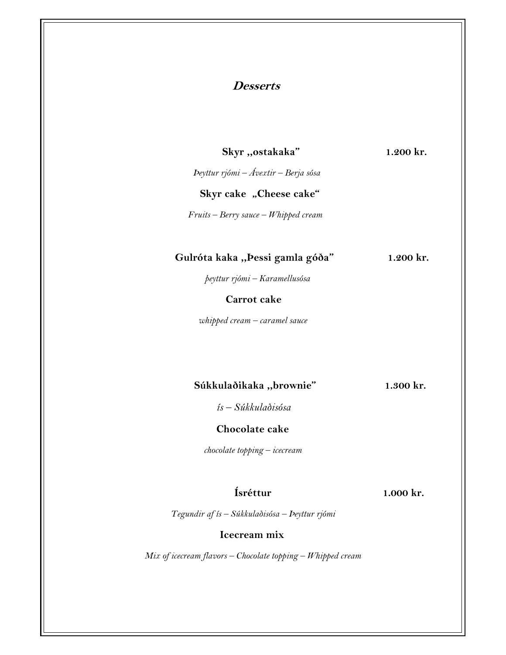#### **Desserts**

 **Skyr ,,ostakaka" 1.200 kr.** 

 *Þeyttur rjómi – Ávextir – Berja sósa*

**Skyr cake "Cheese cake"** 

 *Fruits – Berry sauce – Whipped cream* 

#### **Gulróta kaka ,,Þessi gamla góða" 1.200 kr.**

 *þeyttur rjómi – Karamellusósa* 

#### **Carrot cake**

*whipped cream – caramel sauce* 

## **Súkkulaðikaka ,,brownie" 1.300 kr.**

*ís – Súkkulaðisósa* 

#### **Chocolate cake**

*chocolate topping – icecream* 

 **Ísréttur 1.000 kr.** 

*Tegundir af ís – Súkkulaðisósa – Þeyttur rjómi* 

#### **Icecream mix**

*Mix of icecream flavors – Chocolate topping – Whipped cream*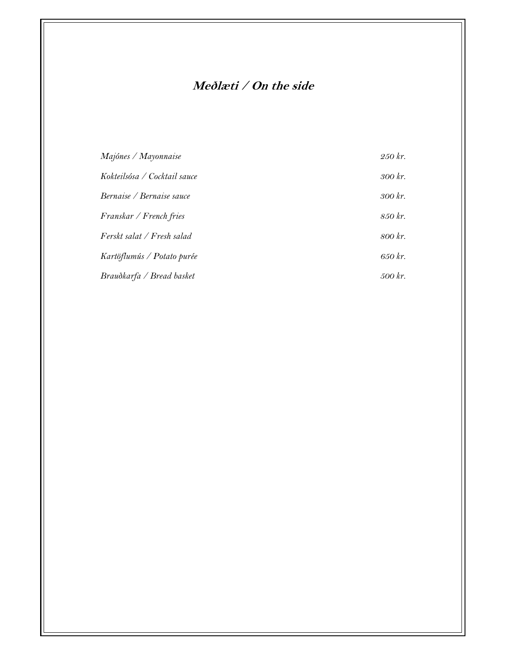# **Meðlæti / On the side**

| Majónes / Mayonnaise         | 250 kr. |
|------------------------------|---------|
| Kokteilsósa / Cocktail sauce | 300 kr. |
| Bernaise / Bernaise sauce    | 300 kr. |
| Franskar / French fries      | 850 kr. |
| Ferskt salat / Fresh salad   | 800 kr. |
| Kartöflumús / Potato purée   | 650 kr. |
| Brauðkarfa / Bread basket    | 500 kr. |